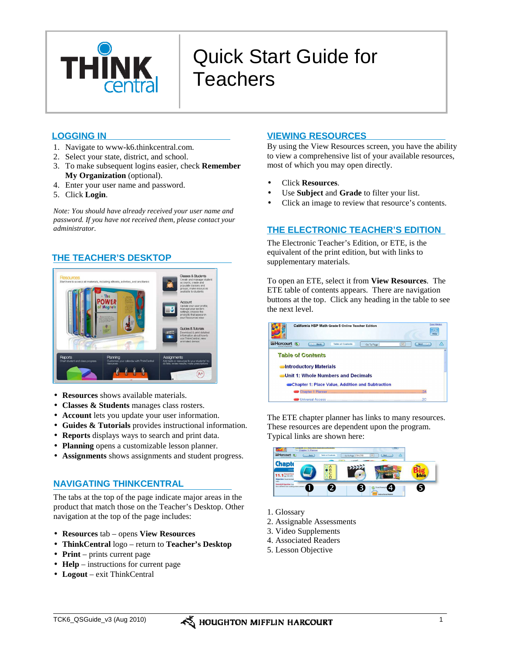

# Quick Start Guide for **Teachers**

- 1. Navigate to www-k6.thinkcentral.com.
- 2. Select your state, district, and school.
- 3. To make subsequent logins easier, check **Remember My Organization** (optional).
- 4. Enter your user name and password.
- 5. Click **Login**.

*Note: You should have already received your user name and password. If you have not received them, please contact your administrator.* 

# **THE TEACHER'S DESKTOP**



- **Resources** shows available materials.
- **Classes & Students** manages class rosters.
- **Account** lets you update your user information.
- **Guides & Tutorials** provides instructional information.
- **Reports** displays ways to search and print data.
- **Planning** opens a customizable lesson planner.
- **Assignments** shows assignments and student progress.

# **NAVIGATING THINKCENTRAL**

The tabs at the top of the page indicate major areas in the product that match those on the Teacher's Desktop. Other navigation at the top of the page includes:

- **Resources** tab opens **View Resources**
- **ThinkCentral** logo return to **Teacher's Desktop**
- **Print** prints current page
- **Help** instructions for current page
- **Logout** exit ThinkCentral

# **LOGGING IN VIEWING RESOURCES**

By using the View Resources screen, you have the ability to view a comprehensive list of your available resources, most of which you may open directly.

- Click **Resources**.
- Use **Subject** and **Grade** to filter your list.
- Click an image to review that resource's contents.

# **THE ELECTRONIC TEACHER'S EDITION**

The Electronic Teacher's Edition, or ETE, is the equivalent of the print edition, but with links to supplementary materials.

To open an ETE, select it from **View Resources**. The ETE table of contents appears. There are navigation buttons at the top. Click any heading in the table to see the next level.



The ETE chapter planner has links to many resources. These resources are dependent upon the program.

Typical links are shown here:



- 1. Glossary
- 2. Assignable Assessments
- 3. Video Supplements
- 4. Associated Readers
- 5. Lesson Objective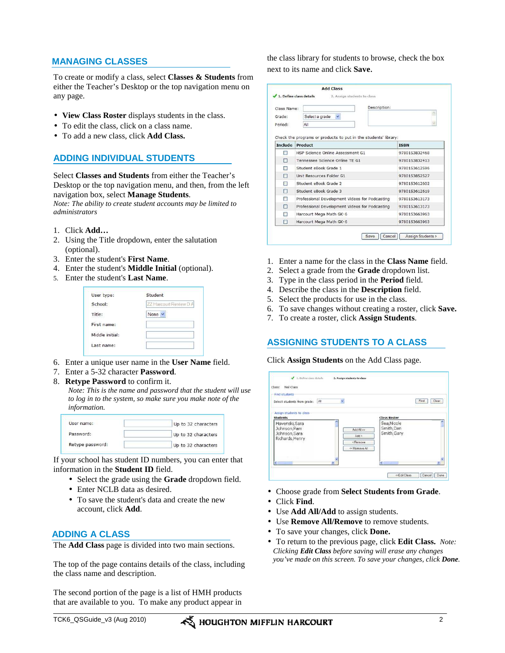# **MANAGING CLASSES**

To create or modify a class, select **Classes & Students** from either the Teacher's Desktop or the top navigation menu on any page.

- **View Class Roster** displays students in the class.
- To edit the class, click on a class name.
- To add a new class, click **Add Class.**

# **ADDING INDIVIDUAL STUDENTS**

Select **Classes and Students** from either the Teacher's Desktop or the top navigation menu, and then, from the left navigation box, select **Manage Students**.

*Note: The ability to create student accounts may be limited to administrators* 

- 1. Click **Add…**
- 2. Using the Title dropdown, enter the salutation (optional).
- 3. Enter the student's **First Name**.
- 4. Enter the student's **Middle Initial** (optional).
- 5. Enter the student's **Last Name**.

| User type:      | Student                |
|-----------------|------------------------|
| School:         | ZZ Harcourt Review D A |
| Title:          | None                   |
| First name:     |                        |
| Middle initial: |                        |
| Last name:      |                        |

- 6. Enter a unique user name in the **User Name** field.
- 7. Enter a 5-32 character **Password**.
- 8. **Retype Password** to confirm it.

*Note: This is the name and password that the student will use to log in to the system, so make sure you make note of the information.* 

| User name:       | Up to 32 characters |
|------------------|---------------------|
| Password:        | Up to 32 characters |
| Retype password: | Up to 32 characters |

If your school has student ID numbers, you can enter that information in the **Student ID** field.

- Select the grade using the **Grade** dropdown field.
- Enter NCLB data as desired.
- To save the student's data and create the new account, click **Add**.

### **ADDING A CLASS**

The **Add Class** page is divided into two main sections.

The top of the page contains details of the class, including the class name and description.

The second portion of the page is a list of HMH products that are available to you. To make any product appear in the class library for students to browse, check the box next to its name and click **Save**.

| Class Name:    | Description:                                                               |               |
|----------------|----------------------------------------------------------------------------|---------------|
| Grade:         | ×<br>Select a grade                                                        |               |
| Period:        | All                                                                        |               |
| <b>Include</b> | Check the programs or products to put in the students' library:<br>Product | <b>ISBN</b>   |
| ш              | HSP Science Online Assessment G1                                           | 9780153832468 |
| п              | Tennessee Science Online TE G1                                             | 9780153832413 |
|                | Student eBook Grade 1                                                      | 9780153612596 |
| п              | Unit Resources Folder G1                                                   | 9780153852527 |
|                | Student eBook Grade 2                                                      | 9780153612602 |
| п              | Student eBook Grade 3                                                      | 9780153612619 |
|                | Professional Development Videos for Podcasting                             | 9780153613173 |
| П              | Professional Development Videos for Podcasting                             | 9780153613173 |
|                | Harcourt Mega Math GK-6                                                    | 9780153663963 |
|                | Harcourt Mega Math GK-6                                                    | 9780153663963 |

- 1. Enter a name for the class in the **Class Name** field.
- 2. Select a grade from the **Grade** dropdown list.
- 3. Type in the class period in the **Period** field.
- 4. Describe the class in the **Description** field.
- 5. Select the products for use in the class.
- 6. To save changes without creating a roster, click **Save.**
- 7. To create a roster, click **Assign Students**.

# **ASSIGNING STUDENTS TO A CLASS**

Click **Assign Students** on the Add Class page.

| Find students                                                      |     |                                                                                                             |               |
|--------------------------------------------------------------------|-----|-------------------------------------------------------------------------------------------------------------|---------------|
| Select students from grade:                                        | All |                                                                                                             | Clear<br>Find |
| Havenski, Sara<br>Johnson, Pam<br>Johnson, Sara<br>Richards, Henry |     | Sea, Nicole<br>Smith, Dan<br>Add All >><br>Smith, Gary<br>Add<br><remove<br>&lt;&lt; Remove All</remove<br> |               |
|                                                                    |     |                                                                                                             |               |

- Choose grade from **Select Students from Grade**.
- Click **Find**.
- Use **Add All/Add** to assign students.
- Use **Remove All/Remove** to remove students.
- To save your changes, click **Done.**
- To return to the previous page, click **Edit Class.** *Note: Clicking Edit Class before saving will erase any changes you've made on this screen. To save your changes, click Done.*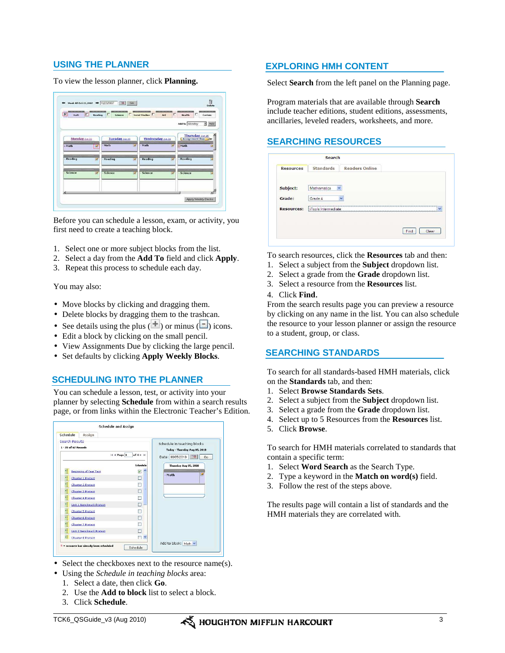# **USING THE PLANNER**

#### To view the lesson planner, click **Planning.**

| $\overline{\nu}$<br>г<br>Math<br><b>Reading</b>                | х<br>Science                                         | Social Studies<br>Art                                  | л<br>г<br>Health.<br>Custom<br>Add To Monday<br>Add<br>э        |
|----------------------------------------------------------------|------------------------------------------------------|--------------------------------------------------------|-----------------------------------------------------------------|
|                                                                |                                                      |                                                        | Thursday od 25                                                  |
| Monday on 22<br>+ Math<br>$\overline{\phantom{a}}$             | Tuesday on 22<br>-------------------------<br>- Math | Wednesday on 24<br>-------------------------<br>- Math | <b>Assignment Due</b><br>----------------------<br><b>HMath</b> |
| - Reading<br>$\tilde{\phantom{a}}$                             | <br>- Reading                                        | ,,,,,,,,,,,,,,,,,,,,,,,<br>Reading                     | -----------------------<br>Reading                              |
| <b><i><u>UNITED WATER CONTINUES.</u></i></b><br>- Science<br>× | <b><i>CONTRACTORSKING</i></b><br>- Science           | <b>With Communication</b><br>Science                   | **************************<br>Science                           |
|                                                                |                                                      |                                                        |                                                                 |

Before you can schedule a lesson, exam, or activity, you first need to create a teaching block.

- 1. Select one or more subject blocks from the list.
- 2. Select a day from the **Add To** field and click **Apply**.
- 3. Repeat this process to schedule each day.

You may also:

- Move blocks by clicking and dragging them.
- Delete blocks by dragging them to the trashcan.
- See details using the plus  $(+)$  or minus  $($ ) icons.
- Edit a block by clicking on the small pencil.
- View Assignments Due by clicking the large pencil.
- Set defaults by clicking **Apply Weekly Blocks**.

### **SCHEDULING INTO THE PLANNER**

You can schedule a lesson, test, or activity into your planner by selecting **Schedule** from within a search results page, or from links within the Electronic Teacher's Edition.



- Select the checkboxes next to the resource name(s).
- Using the *Schedule in teaching blocks* area:
	- 1. Select a date, then click **Go**.
	- 2. Use the **Add to block** list to select a block.
	- 3. Click **Schedule**.

### **EXPLORING HMH CONTENT**

Select **Search** from the left panel on the Planning page.

Program materials that are available through **Search** include teacher editions, student editions, assessments, ancillaries, leveled readers, worksheets, and more.

#### **SEARCHING RESOURCES**

|                   | Search              |                       |                          |
|-------------------|---------------------|-----------------------|--------------------------|
| <b>Resources</b>  | <b>Standards</b>    | <b>Readers Online</b> |                          |
| Subject:          | Ÿ<br>Mathematics    |                       |                          |
| Grade:            | Grade 4             | $\ddot{\phantom{0}}$  |                          |
| <b>Resources:</b> | iTools Intermediate |                       | $\overline{\phantom{a}}$ |
|                   |                     |                       | Find<br>Clear            |

To search resources, click the **Resources** tab and then:

- 1. Select a subject from the **Subject** dropdown list.
- 2. Select a grade from the **Grade** dropdown list.
- 3. Select a resource from the **Resources** list.

#### 4. Click **Find**.

From the search results page you can preview a resource by clicking on any name in the list. You can also schedule the resource to your lesson planner or assign the resource to a student, group, or class.

#### **SEARCHING STANDARDS**

To search for all standards-based HMH materials, click on the **Standards** tab, and then:

- 1. Select **Browse Standards Sets**.
- 2. Select a subject from the **Subject** dropdown list.
- 3. Select a grade from the **Grade** dropdown list.
- 4. Select up to 5 Resources from the **Resources** list.
- 5. Click **Browse**.

To search for HMH materials correlated to standards that contain a specific term:

- 1. Select **Word Search** as the Search Type.
- 2. Type a keyword in the **Match on word(s)** field.
- 3. Follow the rest of the steps above.

The results page will contain a list of standards and the HMH materials they are correlated with.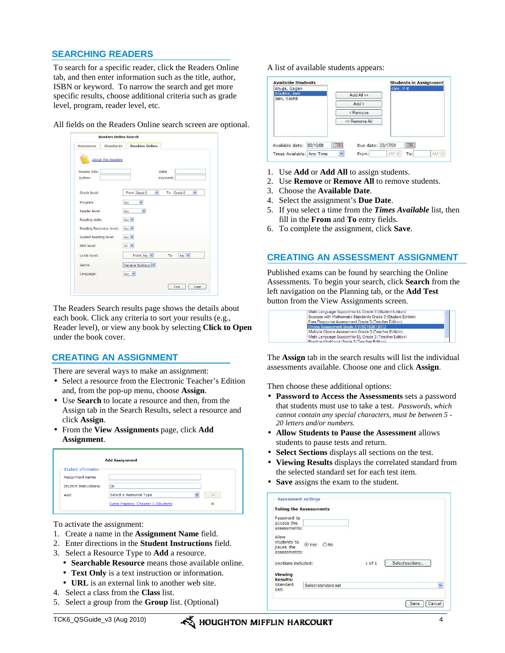# **SEARCHING READERS**

To search for a specific reader, click the Readers Online tab, and then enter information such as the title, author, ISBN or keyword. To narrow the search and get more specific results, choose additional criteria such as grade level, program, reader level, etc.

All fields on the Readers Online search screen are optional.

| Resources<br><b>Standards</b> | <b>Readers Online</b>                              |
|-------------------------------|----------------------------------------------------|
| About the Readers             |                                                    |
| Reader title:                 | ISBN:                                              |
| Author:                       | Keyword:                                           |
| Grade level:                  | From Grade 5<br>$\checkmark$<br>To<br>Grade 6<br>Y |
| Program:                      | $\checkmark$<br>Any                                |
| Reader level:                 | $\mathbf{v}$<br>Anv                                |
| Reading skills:               | Any $\vee$                                         |
| Reading Recovery level:       | Any $\vee$                                         |
| Guided Reading level:         | Any $\vee$                                         |
| DRA level:                    | $44 \times$                                        |
| Lexile level:                 | From Any Y<br>Any $\vee$<br>To                     |
| Genre:                        | Narrative Nonfiction V                             |
|                               | Any $\vee$                                         |
| Language:                     |                                                    |

The Readers Search results page shows the details about each book. Click any criteria to sort your results (e.g., Reader level), or view any book by selecting **Click to Open** under the book cover.

### **CREATING AN ASSIGNMENT**

There are several ways to make an assignment:

- Select a resource from the Electronic Teacher's Edition and, from the pop-up menu, choose **Assign**.
- Use **Search** to locate a resource and then, from the Assign tab in the Search Results, select a resource and click **Assign**.
- From the **View Assignments** page, click **Add Assignment**.

|                       | <b>Add Assignment</b>               |                                |
|-----------------------|-------------------------------------|--------------------------------|
| Student information   |                                     |                                |
| Assignment name:      |                                     |                                |
| Student instructions: | Do                                  |                                |
| Add:                  | Select a Resource Type              | Go<br>$\overline{\phantom{a}}$ |
|                       | Extra Practice, Chapter 1 (Student) | ×                              |

To activate the assignment:

- 1. Create a name in the **Assignment Name** field.
- 2. Enter directions in the **Student Instructions** field.
- 3. Select a Resource Type to **Add** a resource.
	- **Searchable Resource** means those available online.
	- **Text Only** is a text instruction or information.
	- **URL** is an external link to another web site.
- 4. Select a class from the **Class** list.
- 5. Select a group from the **Group** list. (Optional)

A list of available students appears:

| <b>Available Students</b>    |          |    |                                                              |                 |     | <b>Students in Assignment</b> |
|------------------------------|----------|----|--------------------------------------------------------------|-----------------|-----|-------------------------------|
| Ahuja, Gagan                 |          |    |                                                              | Gire, P K       |     |                               |
| Bradlee, Ben<br>Jain, Sakhil |          |    | Add All >>                                                   |                 |     |                               |
|                              |          |    | Add                                                          |                 |     |                               |
|                              |          |    | <remove< td=""><td></td><td></td><td></td></remove<>         |                 |     |                               |
|                              |          |    | < <remove all<="" td=""><td></td><td></td><td></td></remove> |                 |     |                               |
| Available date:              | 03/10/09 | 服务 | Due date: 03/17/09                                           |                 | 田中  |                               |
| Times Available: Any Time    |          | Ÿ  | From:                                                        | AM <sub>2</sub> | To: | AM S                          |

- 1. Use **Add** or **Add All** to assign students.
- 2. Use **Remove** or **Remove All** to remove students.
- 3. Choose the **Available Date**.
- 4. Select the assignment's **Due Date**.
- 5. If you select a time from the *Times Available* list, then fill in the **From** and **To** entry fields.
- 6. To complete the assignment, click **Save**.

### **CREATING AN ASSESSMENT ASSIGNMENT**

Published exams can be found by searching the Online Assessments. To begin your search, click **Search** from the left navigation on the Planning tab, or the **Add Test** button from the View Assignments screen.



The **Assign** tab in the search results will list the individual assessments available. Choose one and click **Assign**.

Then choose these additional options:

- **Password to Access the Assessments** sets a password that students must use to take a test. *Passwords, which cannot contain any special characters, must be between 5 - 20 letters and/or numbers.*
- **Allow Students to Pause the Assessment** allows students to pause tests and return.
- Select Sections displays all sections on the test.
- **Viewing Results** displays the correlated standard from the selected standard set for each test item.
- **Save** assigns the exam to the student.

|                    | <b>Taking the Assessments</b> |        |                      |
|--------------------|-------------------------------|--------|----------------------|
| Password to        |                               |        |                      |
| access the         |                               |        |                      |
| assessments:       |                               |        |                      |
| Allow              |                               |        |                      |
| students to        | O Yes<br>ONO                  |        |                      |
| pause the          |                               |        |                      |
| assessments:       |                               |        |                      |
| Sections included: |                               | 1 of 1 | Select sections      |
| <b>Viewing</b>     |                               |        |                      |
| <b>Results:</b>    |                               |        |                      |
| Standard           | Select standard set           |        | $\ddot{\phantom{0}}$ |
| Set:               |                               |        |                      |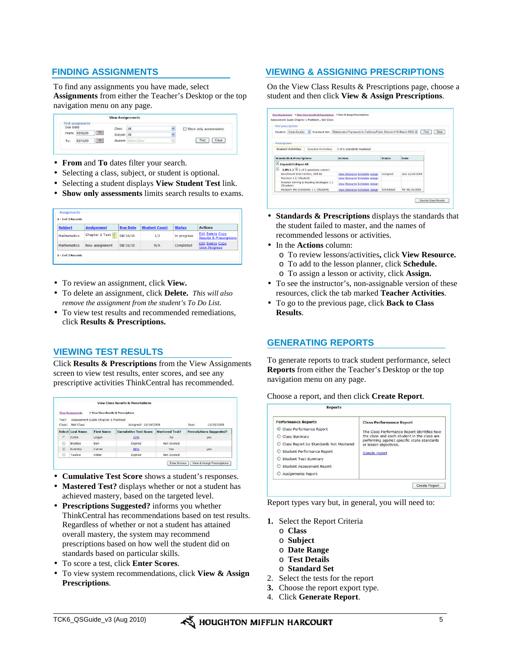# **FINDING ASSIGNMENTS**

To find any assignments you have made, select **Assignments** from either the Teacher's Desktop or the top navigation menu on any page.



- **From** and **To** dates filter your search.
- Selecting a class, subject, or student is optional.
- Selecting a student displays **View Student Test** link.
- **Show only assessments** limits search results to exams.

| $1 - 2$ of $2$ Records |                   |                 |                      |               |                                                               |
|------------------------|-------------------|-----------------|----------------------|---------------|---------------------------------------------------------------|
| <b>Subject</b>         | <b>Assignment</b> | <b>Due Date</b> | <b>Student Count</b> | <b>Status</b> | <b>Actions</b>                                                |
| <b>Mathematics</b>     | Chapter 1 Test    | 08/16/10        | 1/2                  | In progress   | <b>Edit Delete Copy</b><br><b>Results &amp; Prescriptions</b> |
| <b>Mathematics</b>     | New assignment    | 08/16/10        | N/A                  | Completed     | <b>Edit Delete Copy</b><br><b>View Progress</b>               |

- To review an assignment, click **View.**
- To delete an assignment, click **Delete.** *This will also remove the assignment from the student's To Do List.*
- To view test results and recommended remediations, click **Results & Prescriptions.**

# **VIEWING TEST RESULTS**

Click **Results & Prescriptions** from the View Assignments screen to view test results, enter scores, and see any prescriptive activities ThinkCentral has recommended.

|         | <b>View Assignments</b> | > View Class Results & Prescriptions |                              |                       |      |                                 |
|---------|-------------------------|--------------------------------------|------------------------------|-----------------------|------|---------------------------------|
| Test:   |                         | Assessment Guide Chapter 1 Posttest  |                              |                       |      |                                 |
| Class:  | Neil Class              |                                      | Assigned: 12/19/2008         |                       | Due: | 12/26/2008                      |
|         | Select Last Name        | <b>First Name</b>                    | <b>Cumulative Test Score</b> | <b>Mastered Test?</b> |      | <b>Prescriptions Suggested?</b> |
| r.      | Katlin                  | Logan                                | 43%                          | No                    |      | yes                             |
| $\circ$ | Bradlee                 | Ben                                  | Expired                      | Not Scored            |      |                                 |
| $\odot$ | Kuritzky                | Carter                               | 86%                          | Yes                   |      | yes                             |
| $\circ$ | Twelve                  | Adam                                 | Expired                      | Not Scored            |      |                                 |

- **Cumulative Test Score** shows a student's responses.
- **Mastered Test?** displays whether or not a student has achieved mastery, based on the targeted level.
- **Prescriptions Suggested?** informs you whether ThinkCentral has recommendations based on test results. Regardless of whether or not a student has attained overall mastery, the system may recommend prescriptions based on how well the student did on standards based on particular skills.
- To score a test, click **Enter Scores**.
- To view system recommendations, click **View & Assign Prescriptions**.

# **VIEWING & ASSIGNING PRESCRIPTIONS**

On the View Class Results & Prescriptions page, choose a student and then click **View & Assign Prescriptions**.

| Find prescriptions                                                                                               |                               |               |                |               |
|------------------------------------------------------------------------------------------------------------------|-------------------------------|---------------|----------------|---------------|
| Student: Carter Kuritzky v Standard Set: Mathematics Framework for California Public Schools K-12 (March 2005) v |                               |               |                | Clear<br>Find |
| Prescriptions                                                                                                    |                               |               |                |               |
| <b>Teacher Activities</b><br><b>Student Activities</b>                                                           | 0 of 1 standards mastered     |               |                |               |
|                                                                                                                  |                               |               |                |               |
| <b>Standards &amp; Prescriptions</b>                                                                             | <b>Actions</b>                | <b>Status</b> | Date           |               |
| ы<br><b>Expand/Collapse All</b>                                                                                  |                               |               |                |               |
| $\Box$<br>1.NS.1.1 $\overline{\mathbf{Q}}$ 2 of 3 questions correct                                              |                               |               |                |               |
| Benchmark Intervention, Skill B1                                                                                 | View Resource Schedule Assign | Assigned      | due 12/26/2008 |               |
| Practice 1.1 (Student)                                                                                           | View Resource Schedule Assign |               |                |               |
| Problem Solving & Reading Strategies 1.1<br>(Student)                                                            | View Resource Schedule Assign |               |                |               |
|                                                                                                                  | View Resource Schedule Assign | Scheduled     | for 06/16/2008 |               |

- **Standards & Prescriptions** displays the standards that the student failed to master, and the names of recommended lessons or activities.
- In the **Actions** column:
	- o To review lessons/activities**,** click **View Resource.**
	- o To add to the lesson planner, click **Schedule.**
	- o To assign a lesson or activity, click **Assign.**
- To see the instructor's, non-assignable version of these resources, click the tab marked **Teacher Activities**.
- To go to the previous page, click **Back to Class Results**.

# **GENERATING REPORTS**

To generate reports to track student performance, select **Reports** from either the Teacher's Desktop or the top navigation menu on any page.

#### Choose a report, and then click **Create Report**.

| <b>Performance Reports</b><br>Class Performance Report<br>Class Summary<br>Class Report by Standards Not Mastered<br>Student Performance Report<br>Student Test Summary<br>○ Student Assessment Report<br>Assignments Report | <b>Class Performance Report</b><br>The Class Performance Report identifies how<br>the class and each student in the class are<br>performing against specific state standards<br>or lesson objectives.<br>Sample report |
|------------------------------------------------------------------------------------------------------------------------------------------------------------------------------------------------------------------------------|------------------------------------------------------------------------------------------------------------------------------------------------------------------------------------------------------------------------|
|------------------------------------------------------------------------------------------------------------------------------------------------------------------------------------------------------------------------------|------------------------------------------------------------------------------------------------------------------------------------------------------------------------------------------------------------------------|

Report types vary but, in general, you will need to:

- **1.** Select the Report Criteria
	- o **Class**
	- o **Subject**
	- o **Date Range**
	- o **Test Details**
	- o **Standard Set**
- 2. Select the tests for the report
- **3.** Choose the report export type.
- 4. Click **Generate Report**.